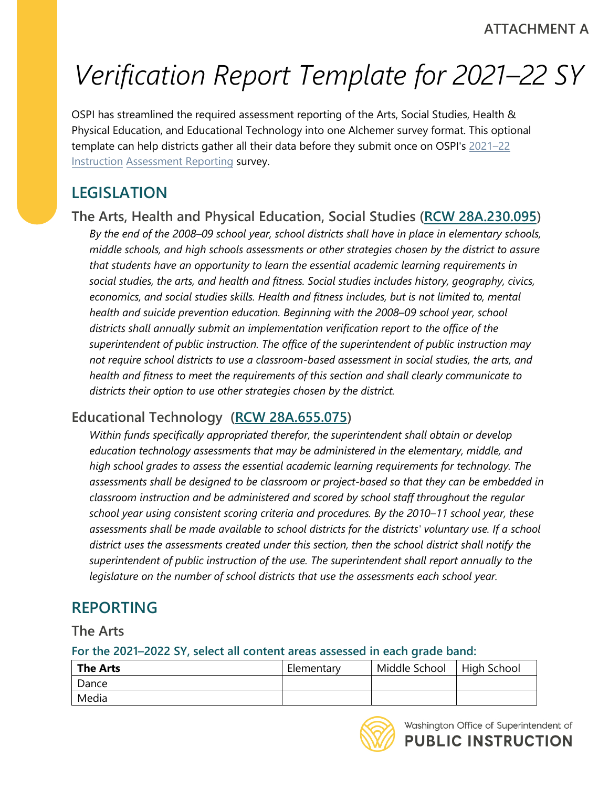# *Verification Report Template for 2021–22 SY*

OSPI has streamlined the required assessment reporting of the Arts, Social Studies, Health & Physical Education, and Educational Technology into one Alchemer survey format. This optional template can help districts gather all their data before they submit once on OSPI's [2021–22](https://survey.alchemer.com/s3/6854144/2021-22-Instruction-Assessment-Reporting)  [Instruction Assessment](https://survey.alchemer.com/s3/6854144/2021-22-Instruction-Assessment-Reporting) Reporting survey.

# **LEGISLATION**

## **The Arts, Health and Physical Education, Social Studies [\(RCW 28A.230.095\)](https://app.leg.wa.gov/rcw/default.aspx?cite=28A.230.095)**

*By the end of the 2008–09 school year, school districts shall have in place in elementary schools, middle schools, and high schools assessments or other strategies chosen by the district to assure that students have an opportunity to learn the essential academic learning requirements in social studies, the arts, and health and fitness. Social studies includes history, geography, civics,*  economics, and social studies skills. Health and fitness includes, but is not limited to, mental *health and suicide prevention education. Beginning with the 2008–09 school year, school districts shall annually submit an implementation verification report to the office of the superintendent of public instruction. The office of the superintendent of public instruction may not require school districts to use a classroom-based assessment in social studies, the arts, and health and fitness to meet the requirements of this section and shall clearly communicate to districts their option to use other strategies chosen by the district.* 

# **Educational Technology [\(RCW 28A.655.075\)](https://app.leg.wa.gov/RCW/default.aspx?cite=28A.655.075)**

*Within funds specifically appropriated therefor, the superintendent shall obtain or develop education technology assessments that may be administered in the elementary, middle, and high school grades to assess the essential academic learning requirements for technology. The assessments shall be designed to be classroom or project-based so that they can be embedded in classroom instruction and be administered and scored by school staff throughout the regular school year using consistent scoring criteria and procedures. By the 2010–11 school year, these assessments shall be made available to school districts for the districts' voluntary use. If a school district uses the assessments created under this section, then the school district shall notify the superintendent of public instruction of the use. The superintendent shall report annually to the legislature on the number of school districts that use the assessments each school year.* 

# **REPORTING**

**The Arts** 

**For the 2021–2022 SY, select all content areas assessed in each grade band:** 

| <b>The Arts</b> | Elementary | Middle School | High School |
|-----------------|------------|---------------|-------------|
| I Dance         |            |               |             |
| Media           |            |               |             |

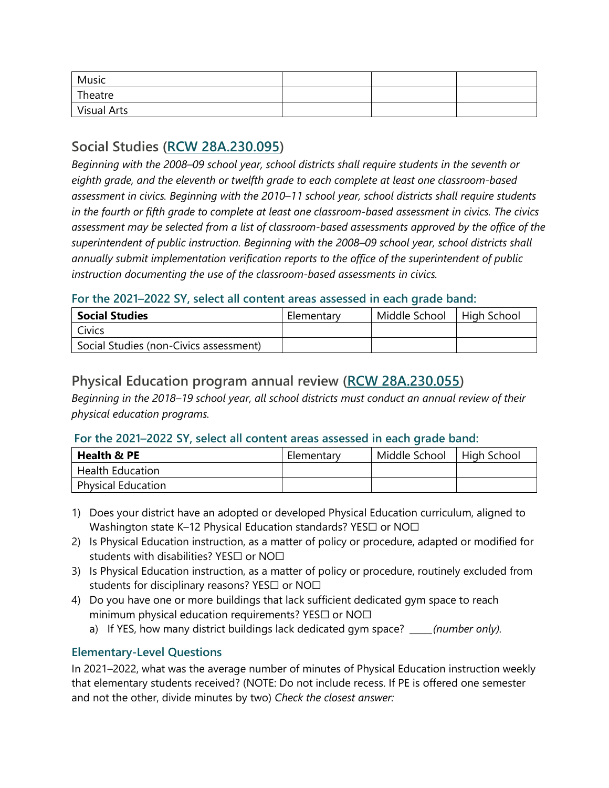| Music       |  |  |
|-------------|--|--|
| Theatre     |  |  |
| Visual Arts |  |  |

## **Social Studies [\(RCW 28A.230.095\)](https://app.leg.wa.gov/rcw/default.aspx?cite=28A.230.095)**

*Beginning with the 2008–09 school year, school districts shall require students in the seventh or eighth grade, and the eleventh or twelfth grade to each complete at least one classroom-based assessment in civics. Beginning with the 2010–11 school year, school districts shall require students in the fourth or fifth grade to complete at least one classroom-based assessment in civics. The civics assessment may be selected from a list of classroom-based assessments approved by the office of the superintendent of public instruction. Beginning with the 2008–09 school year, school districts shall annually submit implementation verification reports to the office of the superintendent of public instruction documenting the use of the classroom-based assessments in civics.* 

#### **For the 2021–2022 SY, select all content areas assessed in each grade band:**

| <b>Social Studies</b>                  | Elementary | Middle School | <b>High School</b> |
|----------------------------------------|------------|---------------|--------------------|
| Civics                                 |            |               |                    |
| Social Studies (non-Civics assessment) |            |               |                    |

## **Physical Education program annual review [\(RCW 28A.230.055\)](http://app.leg.wa.gov/RCW/default.aspx?cite=28A.230.055)**

*Beginning in the 2018–19 school year, all school districts must conduct an annual review of their physical education programs.* 

#### **For the 2021–2022 SY, select all content areas assessed in each grade band:**

| Health & PE               | Elementary | Middle School | High School |
|---------------------------|------------|---------------|-------------|
| <b>Health Education</b>   |            |               |             |
| <b>Physical Education</b> |            |               |             |

- Washington state K–12 Physical Education standards? YES $\Box$  or NO $\Box$ 1) Does your district have an adopted or developed Physical Education curriculum, aligned to
- students with disabilities? YES $\Box$  or NO $\Box$ 2) Is Physical Education instruction, as a matter of policy or procedure, adapted or modified for
- students for disciplinary reasons? YES $\Box$  or NO $\Box$ 3) Is Physical Education instruction, as a matter of policy or procedure, routinely excluded from
- minimum physical education requirements? <code>YES $\Box$ </code> or <code>NO $\Box$ </code> 4) Do you have one or more buildings that lack sufficient dedicated gym space to reach
	- a) If YES, how many district buildings lack dedicated gym space? *\_\_\_\_\_(number only).*

### **Elementary-Level Questions**

In 2021–2022, what was the average number of minutes of Physical Education instruction weekly that elementary students received? (NOTE: Do not include recess. If PE is offered one semester and not the other, divide minutes by two) *Check the closest answer:*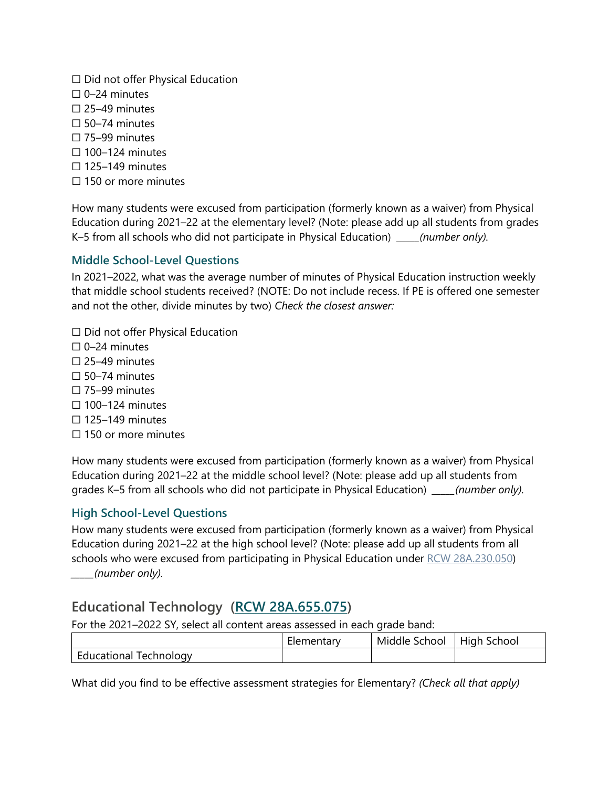☐ Did not offer Physical Education  $\Box$  0–24 minutes  $\square$  25–49 minutes  $\square$  50–74 minutes ☐ 75–99 minutes  $\Box$  100–124 minutes  $\Box$  125–149 minutes  $\Box$  150 or more minutes

How many students were excused from participation (formerly known as a waiver) from Physical Education during 2021–22 at the elementary level? (Note: please add up all students from grades K–5 from all schools who did not participate in Physical Education) *\_\_\_\_\_(number only).* 

#### **Middle School-Level Questions**

In 2021–2022, what was the average number of minutes of Physical Education instruction weekly that middle school students received? (NOTE: Do not include recess. If PE is offered one semester and not the other, divide minutes by two) *Check the closest answer:* 

 $\Box$  Did not offer Physical Education

- $\Box$  0–24 minutes
- ☐ 25–49 minutes
- $\square$  50–74 minutes
- ☐ 75–99 minutes
- $\Box$  100–124 minutes
- $\Box$  125–149 minutes
- $\Box$  150 or more minutes

How many students were excused from participation (formerly known as a waiver) from Physical Education during 2021–22 at the middle school level? (Note: please add up all students from grades K–5 from all schools who did not participate in Physical Education) *\_\_\_\_\_(number only).* 

#### **High School-Level Questions**

How many students were excused from participation (formerly known as a waiver) from Physical Education during 2021–22 at the high school level? (Note: please add up all students from all schools who were excused from participating in Physical Education under [RCW 28A.230.050\)](https://app.leg.wa.gov/RCW/default.aspx?cite=28A.230.050) *\_\_\_\_\_(number only).* 

## **Educational Technology [\(RCW 28A.655.075\)](https://app.leg.wa.gov/RCW/default.aspx?cite=28A.655.075)**

For the 2021–2022 SY, select all content areas assessed in each grade band:

|                            | -<br><b>Llementary</b> | Middle<br>School | $\cdot$ .<br>School<br>High |
|----------------------------|------------------------|------------------|-----------------------------|
| i echnology<br>Educational |                        |                  |                             |

What did you find to be effective assessment strategies for Elementary? *(Check all that apply)*